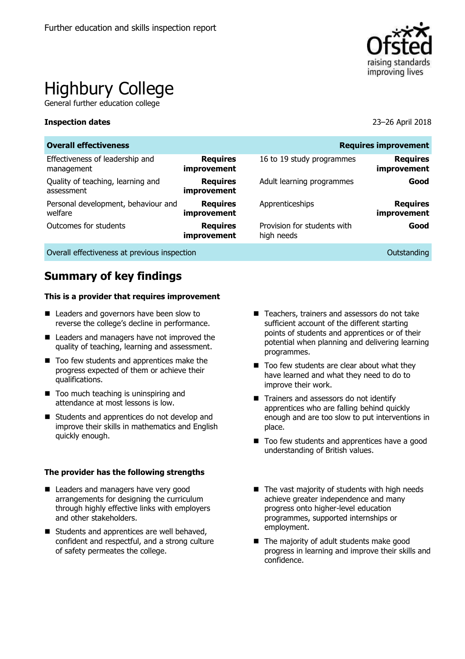

# Highbury College

General further education college

#### **Inspection dates** 23–26 April 2018

| <b>Overall effectiveness</b><br><b>Requires improvement</b> |                                |                                           |                                |  |
|-------------------------------------------------------------|--------------------------------|-------------------------------------------|--------------------------------|--|
| Effectiveness of leadership and<br>management               | <b>Requires</b><br>improvement | 16 to 19 study programmes                 | <b>Requires</b><br>improvement |  |
| Quality of teaching, learning and<br>assessment             | <b>Requires</b><br>improvement | Adult learning programmes                 | Good                           |  |
| Personal development, behaviour and<br>welfare              | <b>Requires</b><br>improvement | Apprenticeships                           | <b>Requires</b><br>improvement |  |
| Outcomes for students                                       | <b>Requires</b><br>improvement | Provision for students with<br>high needs | Good                           |  |
|                                                             |                                |                                           |                                |  |

Overall effectiveness at previous inspection **COVERTIZATION** Outstanding Outstanding

# **Summary of key findings**

#### **This is a provider that requires improvement**

- Leaders and governors have been slow to reverse the college's decline in performance.
- Leaders and managers have not improved the quality of teaching, learning and assessment.
- Too few students and apprentices make the progress expected of them or achieve their qualifications.
- Too much teaching is uninspiring and attendance at most lessons is low.
- Students and apprentices do not develop and improve their skills in mathematics and English quickly enough.

#### **The provider has the following strengths**

- Leaders and managers have very good arrangements for designing the curriculum through highly effective links with employers and other stakeholders.
- Students and apprentices are well behaved, confident and respectful, and a strong culture of safety permeates the college.
- Teachers, trainers and assessors do not take sufficient account of the different starting points of students and apprentices or of their potential when planning and delivering learning programmes.
- $\blacksquare$  Too few students are clear about what they have learned and what they need to do to improve their work.
- Trainers and assessors do not identify apprentices who are falling behind quickly enough and are too slow to put interventions in place.
- Too few students and apprentices have a good understanding of British values.
- $\blacksquare$  The vast majority of students with high needs achieve greater independence and many progress onto higher-level education programmes, supported internships or employment.
- The majority of adult students make good progress in learning and improve their skills and confidence.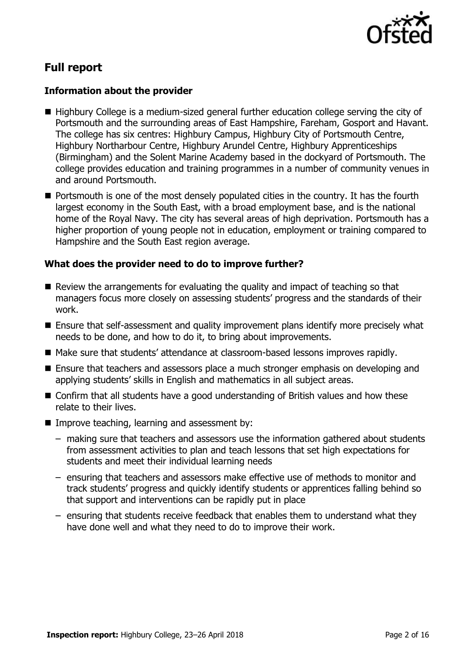

# **Full report**

### **Information about the provider**

- Highbury College is a medium-sized general further education college serving the city of Portsmouth and the surrounding areas of East Hampshire, Fareham, Gosport and Havant. The college has six centres: Highbury Campus, Highbury City of Portsmouth Centre, Highbury Northarbour Centre, Highbury Arundel Centre, Highbury Apprenticeships (Birmingham) and the Solent Marine Academy based in the dockyard of Portsmouth. The college provides education and training programmes in a number of community venues in and around Portsmouth.
- **Portsmouth is one of the most densely populated cities in the country. It has the fourth** largest economy in the South East, with a broad employment base, and is the national home of the Royal Navy. The city has several areas of high deprivation. Portsmouth has a higher proportion of young people not in education, employment or training compared to Hampshire and the South East region average.

### **What does the provider need to do to improve further?**

- Review the arrangements for evaluating the quality and impact of teaching so that managers focus more closely on assessing students' progress and the standards of their work.
- Ensure that self-assessment and quality improvement plans identify more precisely what needs to be done, and how to do it, to bring about improvements.
- Make sure that students' attendance at classroom-based lessons improves rapidly.
- Ensure that teachers and assessors place a much stronger emphasis on developing and applying students' skills in English and mathematics in all subject areas.
- Confirm that all students have a good understanding of British values and how these relate to their lives.
- **IMPROVE teaching, learning and assessment by:** 
	- making sure that teachers and assessors use the information gathered about students from assessment activities to plan and teach lessons that set high expectations for students and meet their individual learning needs
	- ensuring that teachers and assessors make effective use of methods to monitor and track students' progress and quickly identify students or apprentices falling behind so that support and interventions can be rapidly put in place
	- ensuring that students receive feedback that enables them to understand what they have done well and what they need to do to improve their work.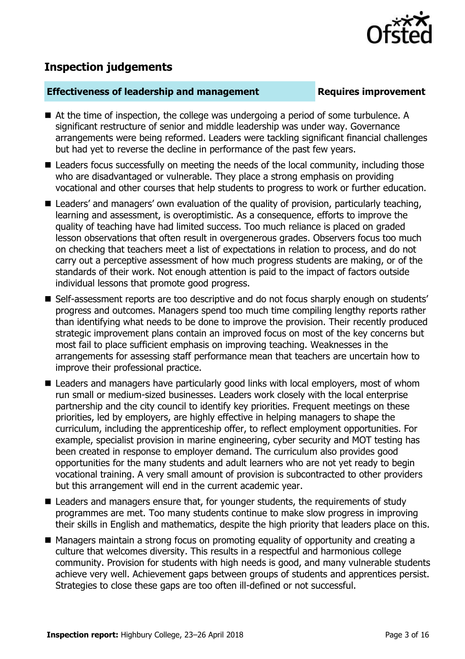

# **Inspection judgements**

#### **Effectiveness of leadership and management Requires improvement**

- At the time of inspection, the college was undergoing a period of some turbulence. A significant restructure of senior and middle leadership was under way. Governance arrangements were being reformed. Leaders were tackling significant financial challenges but had yet to reverse the decline in performance of the past few years.
- Leaders focus successfully on meeting the needs of the local community, including those who are disadvantaged or vulnerable. They place a strong emphasis on providing vocational and other courses that help students to progress to work or further education.
- Leaders' and managers' own evaluation of the quality of provision, particularly teaching, learning and assessment, is overoptimistic. As a consequence, efforts to improve the quality of teaching have had limited success. Too much reliance is placed on graded lesson observations that often result in overgenerous grades. Observers focus too much on checking that teachers meet a list of expectations in relation to process, and do not carry out a perceptive assessment of how much progress students are making, or of the standards of their work. Not enough attention is paid to the impact of factors outside individual lessons that promote good progress.
- Self-assessment reports are too descriptive and do not focus sharply enough on students' progress and outcomes. Managers spend too much time compiling lengthy reports rather than identifying what needs to be done to improve the provision. Their recently produced strategic improvement plans contain an improved focus on most of the key concerns but most fail to place sufficient emphasis on improving teaching. Weaknesses in the arrangements for assessing staff performance mean that teachers are uncertain how to improve their professional practice.
- Leaders and managers have particularly good links with local employers, most of whom run small or medium-sized businesses. Leaders work closely with the local enterprise partnership and the city council to identify key priorities. Frequent meetings on these priorities, led by employers, are highly effective in helping managers to shape the curriculum, including the apprenticeship offer, to reflect employment opportunities. For example, specialist provision in marine engineering, cyber security and MOT testing has been created in response to employer demand. The curriculum also provides good opportunities for the many students and adult learners who are not yet ready to begin vocational training. A very small amount of provision is subcontracted to other providers but this arrangement will end in the current academic year.
- Leaders and managers ensure that, for younger students, the requirements of study programmes are met. Too many students continue to make slow progress in improving their skills in English and mathematics, despite the high priority that leaders place on this.
- Managers maintain a strong focus on promoting equality of opportunity and creating a culture that welcomes diversity. This results in a respectful and harmonious college community. Provision for students with high needs is good, and many vulnerable students achieve very well. Achievement gaps between groups of students and apprentices persist. Strategies to close these gaps are too often ill-defined or not successful.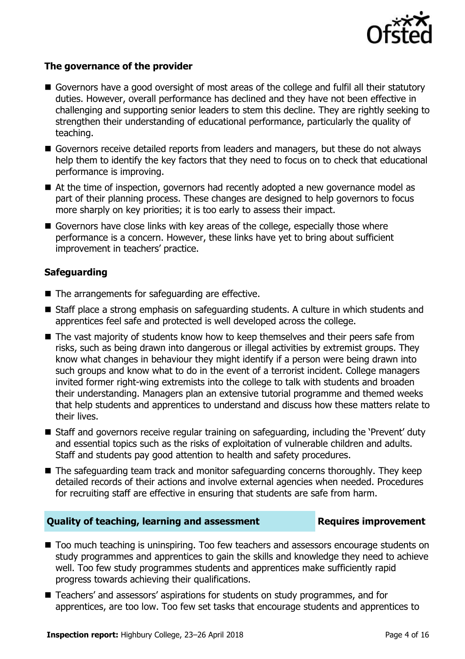

#### **The governance of the provider**

- Governors have a good oversight of most areas of the college and fulfil all their statutory duties. However, overall performance has declined and they have not been effective in challenging and supporting senior leaders to stem this decline. They are rightly seeking to strengthen their understanding of educational performance, particularly the quality of teaching.
- Governors receive detailed reports from leaders and managers, but these do not always help them to identify the key factors that they need to focus on to check that educational performance is improving.
- At the time of inspection, governors had recently adopted a new governance model as part of their planning process. These changes are designed to help governors to focus more sharply on key priorities; it is too early to assess their impact.
- Governors have close links with key areas of the college, especially those where performance is a concern. However, these links have yet to bring about sufficient improvement in teachers' practice.

### **Safeguarding**

- The arrangements for safeguarding are effective.
- Staff place a strong emphasis on safeguarding students. A culture in which students and apprentices feel safe and protected is well developed across the college.
- The vast majority of students know how to keep themselves and their peers safe from risks, such as being drawn into dangerous or illegal activities by extremist groups. They know what changes in behaviour they might identify if a person were being drawn into such groups and know what to do in the event of a terrorist incident. College managers invited former right-wing extremists into the college to talk with students and broaden their understanding. Managers plan an extensive tutorial programme and themed weeks that help students and apprentices to understand and discuss how these matters relate to their lives.
- Staff and governors receive regular training on safeguarding, including the 'Prevent' duty and essential topics such as the risks of exploitation of vulnerable children and adults. Staff and students pay good attention to health and safety procedures.
- The safeguarding team track and monitor safeguarding concerns thoroughly. They keep detailed records of their actions and involve external agencies when needed. Procedures for recruiting staff are effective in ensuring that students are safe from harm.

#### **Quality of teaching, learning and assessment Requires improvement**

- Too much teaching is uninspiring. Too few teachers and assessors encourage students on study programmes and apprentices to gain the skills and knowledge they need to achieve well. Too few study programmes students and apprentices make sufficiently rapid progress towards achieving their qualifications.
- Teachers' and assessors' aspirations for students on study programmes, and for apprentices, are too low. Too few set tasks that encourage students and apprentices to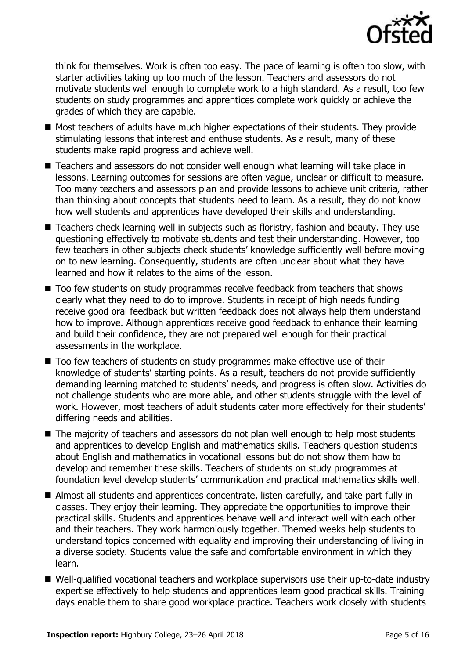

think for themselves. Work is often too easy. The pace of learning is often too slow, with starter activities taking up too much of the lesson. Teachers and assessors do not motivate students well enough to complete work to a high standard. As a result, too few students on study programmes and apprentices complete work quickly or achieve the grades of which they are capable.

- Most teachers of adults have much higher expectations of their students. They provide stimulating lessons that interest and enthuse students. As a result, many of these students make rapid progress and achieve well.
- Teachers and assessors do not consider well enough what learning will take place in lessons. Learning outcomes for sessions are often vague, unclear or difficult to measure. Too many teachers and assessors plan and provide lessons to achieve unit criteria, rather than thinking about concepts that students need to learn. As a result, they do not know how well students and apprentices have developed their skills and understanding.
- Teachers check learning well in subjects such as floristry, fashion and beauty. They use questioning effectively to motivate students and test their understanding. However, too few teachers in other subjects check students' knowledge sufficiently well before moving on to new learning. Consequently, students are often unclear about what they have learned and how it relates to the aims of the lesson.
- Too few students on study programmes receive feedback from teachers that shows clearly what they need to do to improve. Students in receipt of high needs funding receive good oral feedback but written feedback does not always help them understand how to improve. Although apprentices receive good feedback to enhance their learning and build their confidence, they are not prepared well enough for their practical assessments in the workplace.
- Too few teachers of students on study programmes make effective use of their knowledge of students' starting points. As a result, teachers do not provide sufficiently demanding learning matched to students' needs, and progress is often slow. Activities do not challenge students who are more able, and other students struggle with the level of work. However, most teachers of adult students cater more effectively for their students' differing needs and abilities.
- The majority of teachers and assessors do not plan well enough to help most students and apprentices to develop English and mathematics skills. Teachers question students about English and mathematics in vocational lessons but do not show them how to develop and remember these skills. Teachers of students on study programmes at foundation level develop students' communication and practical mathematics skills well.
- Almost all students and apprentices concentrate, listen carefully, and take part fully in classes. They enjoy their learning. They appreciate the opportunities to improve their practical skills. Students and apprentices behave well and interact well with each other and their teachers. They work harmoniously together. Themed weeks help students to understand topics concerned with equality and improving their understanding of living in a diverse society. Students value the safe and comfortable environment in which they learn.
- Well-qualified vocational teachers and workplace supervisors use their up-to-date industry expertise effectively to help students and apprentices learn good practical skills. Training days enable them to share good workplace practice. Teachers work closely with students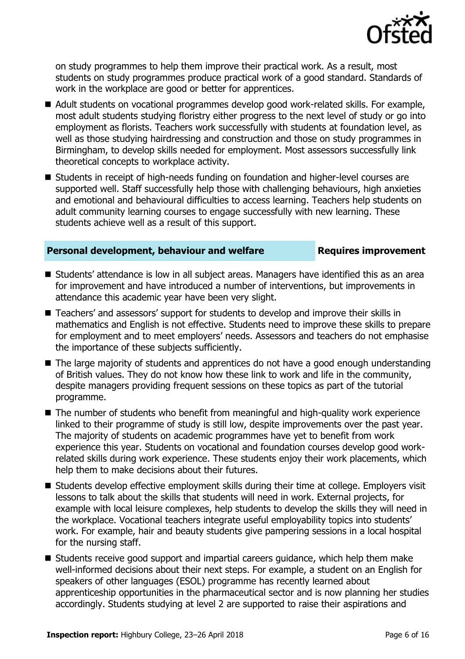

on study programmes to help them improve their practical work. As a result, most students on study programmes produce practical work of a good standard. Standards of work in the workplace are good or better for apprentices.

- Adult students on vocational programmes develop good work-related skills. For example, most adult students studying floristry either progress to the next level of study or go into employment as florists. Teachers work successfully with students at foundation level, as well as those studying hairdressing and construction and those on study programmes in Birmingham, to develop skills needed for employment. Most assessors successfully link theoretical concepts to workplace activity.
- Students in receipt of high-needs funding on foundation and higher-level courses are supported well. Staff successfully help those with challenging behaviours, high anxieties and emotional and behavioural difficulties to access learning. Teachers help students on adult community learning courses to engage successfully with new learning. These students achieve well as a result of this support.

### **Personal development, behaviour and welfare <b>Requires improvement**

- Students' attendance is low in all subject areas. Managers have identified this as an area for improvement and have introduced a number of interventions, but improvements in attendance this academic year have been very slight.
- Teachers' and assessors' support for students to develop and improve their skills in mathematics and English is not effective. Students need to improve these skills to prepare for employment and to meet employers' needs. Assessors and teachers do not emphasise the importance of these subjects sufficiently.
- The large majority of students and apprentices do not have a good enough understanding of British values. They do not know how these link to work and life in the community, despite managers providing frequent sessions on these topics as part of the tutorial programme.
- The number of students who benefit from meaningful and high-quality work experience linked to their programme of study is still low, despite improvements over the past year. The majority of students on academic programmes have yet to benefit from work experience this year. Students on vocational and foundation courses develop good workrelated skills during work experience. These students enjoy their work placements, which help them to make decisions about their futures.
- Students develop effective employment skills during their time at college. Employers visit lessons to talk about the skills that students will need in work. External projects, for example with local leisure complexes, help students to develop the skills they will need in the workplace. Vocational teachers integrate useful employability topics into students' work. For example, hair and beauty students give pampering sessions in a local hospital for the nursing staff.
- Students receive good support and impartial careers guidance, which help them make well-informed decisions about their next steps. For example, a student on an English for speakers of other languages (ESOL) programme has recently learned about apprenticeship opportunities in the pharmaceutical sector and is now planning her studies accordingly. Students studying at level 2 are supported to raise their aspirations and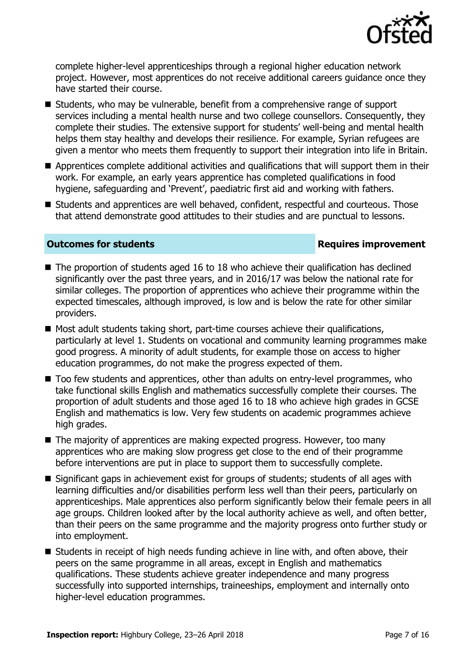

complete higher-level apprenticeships through a regional higher education network project. However, most apprentices do not receive additional careers guidance once they have started their course.

- Students, who may be vulnerable, benefit from a comprehensive range of support services including a mental health nurse and two college counsellors. Consequently, they complete their studies. The extensive support for students' well-being and mental health helps them stay healthy and develops their resilience. For example, Syrian refugees are given a mentor who meets them frequently to support their integration into life in Britain.
- **E** Apprentices complete additional activities and qualifications that will support them in their work. For example, an early years apprentice has completed qualifications in food hygiene, safeguarding and 'Prevent', paediatric first aid and working with fathers.
- Students and apprentices are well behaved, confident, respectful and courteous. Those that attend demonstrate good attitudes to their studies and are punctual to lessons.

### **Outcomes for students Requires improvement**

- $\blacksquare$  The proportion of students aged 16 to 18 who achieve their qualification has declined significantly over the past three years, and in 2016/17 was below the national rate for similar colleges. The proportion of apprentices who achieve their programme within the expected timescales, although improved, is low and is below the rate for other similar providers.
- $\blacksquare$  Most adult students taking short, part-time courses achieve their qualifications, particularly at level 1. Students on vocational and community learning programmes make good progress. A minority of adult students, for example those on access to higher education programmes, do not make the progress expected of them.
- Too few students and apprentices, other than adults on entry-level programmes, who take functional skills English and mathematics successfully complete their courses. The proportion of adult students and those aged 16 to 18 who achieve high grades in GCSE English and mathematics is low. Very few students on academic programmes achieve high grades.
- The majority of apprentices are making expected progress. However, too many apprentices who are making slow progress get close to the end of their programme before interventions are put in place to support them to successfully complete.
- Significant gaps in achievement exist for groups of students; students of all ages with learning difficulties and/or disabilities perform less well than their peers, particularly on apprenticeships. Male apprentices also perform significantly below their female peers in all age groups. Children looked after by the local authority achieve as well, and often better, than their peers on the same programme and the majority progress onto further study or into employment.
- Students in receipt of high needs funding achieve in line with, and often above, their peers on the same programme in all areas, except in English and mathematics qualifications. These students achieve greater independence and many progress successfully into supported internships, traineeships, employment and internally onto higher-level education programmes.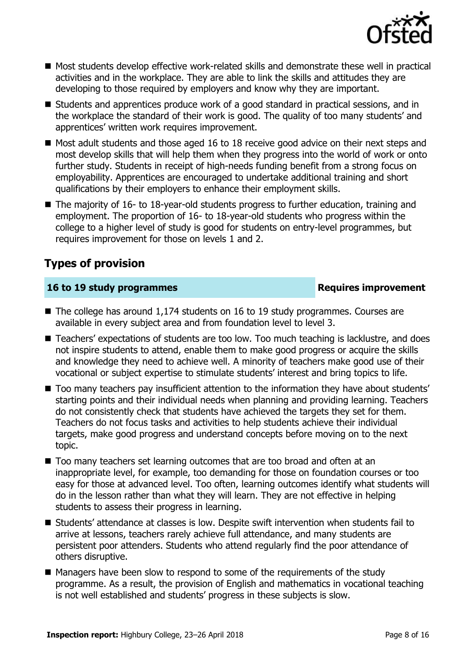

- Most students develop effective work-related skills and demonstrate these well in practical activities and in the workplace. They are able to link the skills and attitudes they are developing to those required by employers and know why they are important.
- Students and apprentices produce work of a good standard in practical sessions, and in the workplace the standard of their work is good. The quality of too many students' and apprentices' written work requires improvement.
- $\blacksquare$  Most adult students and those aged 16 to 18 receive good advice on their next steps and most develop skills that will help them when they progress into the world of work or onto further study. Students in receipt of high-needs funding benefit from a strong focus on employability. Apprentices are encouraged to undertake additional training and short qualifications by their employers to enhance their employment skills.
- The majority of 16- to 18-year-old students progress to further education, training and employment. The proportion of 16- to 18-year-old students who progress within the college to a higher level of study is good for students on entry-level programmes, but requires improvement for those on levels 1 and 2.

# **Types of provision**

### **16 to 19 study programmes Requires improvement**

- The college has around 1,174 students on 16 to 19 study programmes. Courses are available in every subject area and from foundation level to level 3.
- Teachers' expectations of students are too low. Too much teaching is lacklustre, and does not inspire students to attend, enable them to make good progress or acquire the skills and knowledge they need to achieve well. A minority of teachers make good use of their vocational or subject expertise to stimulate students' interest and bring topics to life.
- $\blacksquare$  Too many teachers pay insufficient attention to the information they have about students' starting points and their individual needs when planning and providing learning. Teachers do not consistently check that students have achieved the targets they set for them. Teachers do not focus tasks and activities to help students achieve their individual targets, make good progress and understand concepts before moving on to the next topic.
- Too many teachers set learning outcomes that are too broad and often at an inappropriate level, for example, too demanding for those on foundation courses or too easy for those at advanced level. Too often, learning outcomes identify what students will do in the lesson rather than what they will learn. They are not effective in helping students to assess their progress in learning.
- Students' attendance at classes is low. Despite swift intervention when students fail to arrive at lessons, teachers rarely achieve full attendance, and many students are persistent poor attenders. Students who attend regularly find the poor attendance of others disruptive.
- Managers have been slow to respond to some of the requirements of the study programme. As a result, the provision of English and mathematics in vocational teaching is not well established and students' progress in these subjects is slow.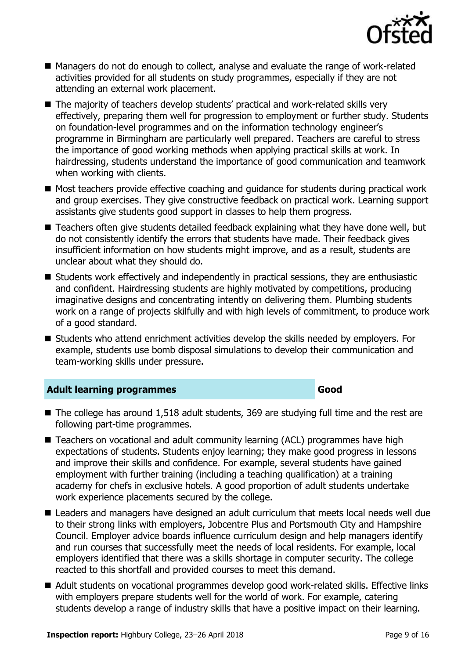

- Managers do not do enough to collect, analyse and evaluate the range of work-related activities provided for all students on study programmes, especially if they are not attending an external work placement.
- The majority of teachers develop students' practical and work-related skills very effectively, preparing them well for progression to employment or further study. Students on foundation-level programmes and on the information technology engineer's programme in Birmingham are particularly well prepared. Teachers are careful to stress the importance of good working methods when applying practical skills at work. In hairdressing, students understand the importance of good communication and teamwork when working with clients.
- Most teachers provide effective coaching and quidance for students during practical work and group exercises. They give constructive feedback on practical work. Learning support assistants give students good support in classes to help them progress.
- Teachers often give students detailed feedback explaining what they have done well, but do not consistently identify the errors that students have made. Their feedback gives insufficient information on how students might improve, and as a result, students are unclear about what they should do.
- Students work effectively and independently in practical sessions, they are enthusiastic and confident. Hairdressing students are highly motivated by competitions, producing imaginative designs and concentrating intently on delivering them. Plumbing students work on a range of projects skilfully and with high levels of commitment, to produce work of a good standard.
- Students who attend enrichment activities develop the skills needed by employers. For example, students use bomb disposal simulations to develop their communication and team-working skills under pressure.

### **Adult learning programmes Good**

- The college has around 1,518 adult students, 369 are studying full time and the rest are following part-time programmes.
- Teachers on vocational and adult community learning (ACL) programmes have high expectations of students. Students enjoy learning; they make good progress in lessons and improve their skills and confidence. For example, several students have gained employment with further training (including a teaching qualification) at a training academy for chefs in exclusive hotels. A good proportion of adult students undertake work experience placements secured by the college.
- Leaders and managers have designed an adult curriculum that meets local needs well due to their strong links with employers, Jobcentre Plus and Portsmouth City and Hampshire Council. Employer advice boards influence curriculum design and help managers identify and run courses that successfully meet the needs of local residents. For example, local employers identified that there was a skills shortage in computer security. The college reacted to this shortfall and provided courses to meet this demand.
- Adult students on vocational programmes develop good work-related skills. Effective links with employers prepare students well for the world of work. For example, catering students develop a range of industry skills that have a positive impact on their learning.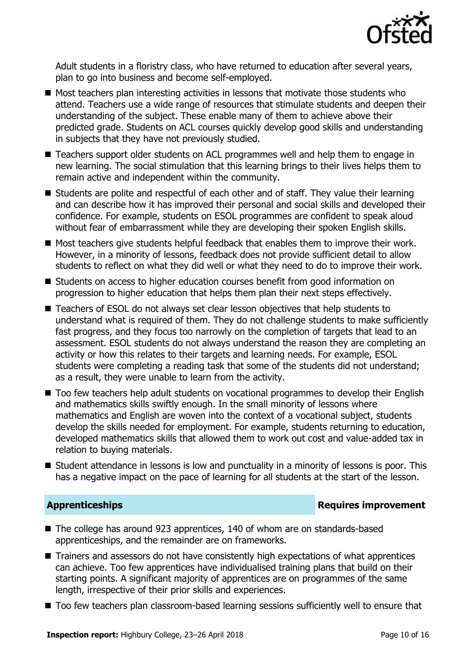

Adult students in a floristry class, who have returned to education after several years, plan to go into business and become self-employed.

- $\blacksquare$  Most teachers plan interesting activities in lessons that motivate those students who attend. Teachers use a wide range of resources that stimulate students and deepen their understanding of the subject. These enable many of them to achieve above their predicted grade. Students on ACL courses quickly develop good skills and understanding in subjects that they have not previously studied.
- Teachers support older students on ACL programmes well and help them to engage in new learning. The social stimulation that this learning brings to their lives helps them to remain active and independent within the community.
- Students are polite and respectful of each other and of staff. They value their learning and can describe how it has improved their personal and social skills and developed their confidence. For example, students on ESOL programmes are confident to speak aloud without fear of embarrassment while they are developing their spoken English skills.
- Most teachers give students helpful feedback that enables them to improve their work. However, in a minority of lessons, feedback does not provide sufficient detail to allow students to reflect on what they did well or what they need to do to improve their work.
- Students on access to higher education courses benefit from good information on progression to higher education that helps them plan their next steps effectively.
- Teachers of ESOL do not always set clear lesson objectives that help students to understand what is required of them. They do not challenge students to make sufficiently fast progress, and they focus too narrowly on the completion of targets that lead to an assessment. ESOL students do not always understand the reason they are completing an activity or how this relates to their targets and learning needs. For example, ESOL students were completing a reading task that some of the students did not understand; as a result, they were unable to learn from the activity.
- Too few teachers help adult students on vocational programmes to develop their English and mathematics skills swiftly enough. In the small minority of lessons where mathematics and English are woven into the context of a vocational subject, students develop the skills needed for employment. For example, students returning to education, developed mathematics skills that allowed them to work out cost and value-added tax in relation to buying materials.
- Student attendance in lessons is low and punctuality in a minority of lessons is poor. This has a negative impact on the pace of learning for all students at the start of the lesson.

#### **Apprenticeships Requires improvement**

- The college has around 923 apprentices, 140 of whom are on standards-based apprenticeships, and the remainder are on frameworks.
- Trainers and assessors do not have consistently high expectations of what apprentices can achieve. Too few apprentices have individualised training plans that build on their starting points. A significant majority of apprentices are on programmes of the same length, irrespective of their prior skills and experiences.
- $\blacksquare$  Too few teachers plan classroom-based learning sessions sufficiently well to ensure that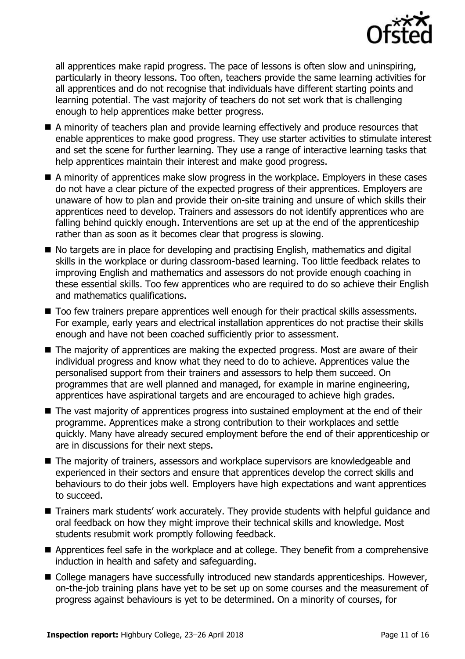

all apprentices make rapid progress. The pace of lessons is often slow and uninspiring, particularly in theory lessons. Too often, teachers provide the same learning activities for all apprentices and do not recognise that individuals have different starting points and learning potential. The vast majority of teachers do not set work that is challenging enough to help apprentices make better progress.

- A minority of teachers plan and provide learning effectively and produce resources that enable apprentices to make good progress. They use starter activities to stimulate interest and set the scene for further learning. They use a range of interactive learning tasks that help apprentices maintain their interest and make good progress.
- A minority of apprentices make slow progress in the workplace. Employers in these cases do not have a clear picture of the expected progress of their apprentices. Employers are unaware of how to plan and provide their on-site training and unsure of which skills their apprentices need to develop. Trainers and assessors do not identify apprentices who are falling behind quickly enough. Interventions are set up at the end of the apprenticeship rather than as soon as it becomes clear that progress is slowing.
- No targets are in place for developing and practising English, mathematics and digital skills in the workplace or during classroom-based learning. Too little feedback relates to improving English and mathematics and assessors do not provide enough coaching in these essential skills. Too few apprentices who are required to do so achieve their English and mathematics qualifications.
- $\blacksquare$  Too few trainers prepare apprentices well enough for their practical skills assessments. For example, early years and electrical installation apprentices do not practise their skills enough and have not been coached sufficiently prior to assessment.
- The majority of apprentices are making the expected progress. Most are aware of their individual progress and know what they need to do to achieve. Apprentices value the personalised support from their trainers and assessors to help them succeed. On programmes that are well planned and managed, for example in marine engineering, apprentices have aspirational targets and are encouraged to achieve high grades.
- The vast majority of apprentices progress into sustained employment at the end of their programme. Apprentices make a strong contribution to their workplaces and settle quickly. Many have already secured employment before the end of their apprenticeship or are in discussions for their next steps.
- The majority of trainers, assessors and workplace supervisors are knowledgeable and experienced in their sectors and ensure that apprentices develop the correct skills and behaviours to do their jobs well. Employers have high expectations and want apprentices to succeed.
- Trainers mark students' work accurately. They provide students with helpful guidance and oral feedback on how they might improve their technical skills and knowledge. Most students resubmit work promptly following feedback.
- **Apprentices feel safe in the workplace and at college. They benefit from a comprehensive** induction in health and safety and safeguarding.
- College managers have successfully introduced new standards apprenticeships. However, on-the-job training plans have yet to be set up on some courses and the measurement of progress against behaviours is yet to be determined. On a minority of courses, for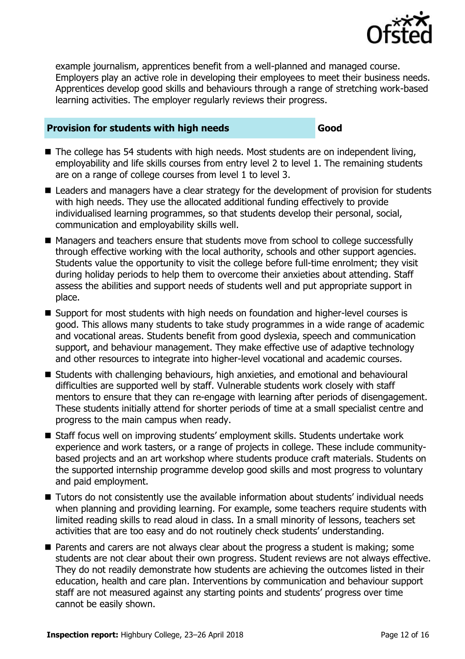

example journalism, apprentices benefit from a well-planned and managed course. Employers play an active role in developing their employees to meet their business needs. Apprentices develop good skills and behaviours through a range of stretching work-based learning activities. The employer regularly reviews their progress.

### **Provision for students with high needs Good**

- The college has 54 students with high needs. Most students are on independent living, employability and life skills courses from entry level 2 to level 1. The remaining students are on a range of college courses from level 1 to level 3.
- Leaders and managers have a clear strategy for the development of provision for students with high needs. They use the allocated additional funding effectively to provide individualised learning programmes, so that students develop their personal, social, communication and employability skills well.
- Managers and teachers ensure that students move from school to college successfully through effective working with the local authority, schools and other support agencies. Students value the opportunity to visit the college before full-time enrolment; they visit during holiday periods to help them to overcome their anxieties about attending. Staff assess the abilities and support needs of students well and put appropriate support in place.
- Support for most students with high needs on foundation and higher-level courses is good. This allows many students to take study programmes in a wide range of academic and vocational areas. Students benefit from good dyslexia, speech and communication support, and behaviour management. They make effective use of adaptive technology and other resources to integrate into higher-level vocational and academic courses.
- Students with challenging behaviours, high anxieties, and emotional and behavioural difficulties are supported well by staff. Vulnerable students work closely with staff mentors to ensure that they can re-engage with learning after periods of disengagement. These students initially attend for shorter periods of time at a small specialist centre and progress to the main campus when ready.
- Staff focus well on improving students' employment skills. Students undertake work experience and work tasters, or a range of projects in college. These include communitybased projects and an art workshop where students produce craft materials. Students on the supported internship programme develop good skills and most progress to voluntary and paid employment.
- Tutors do not consistently use the available information about students' individual needs when planning and providing learning. For example, some teachers require students with limited reading skills to read aloud in class. In a small minority of lessons, teachers set activities that are too easy and do not routinely check students' understanding.
- **Parents and carers are not always clear about the progress a student is making; some** students are not clear about their own progress. Student reviews are not always effective. They do not readily demonstrate how students are achieving the outcomes listed in their education, health and care plan. Interventions by communication and behaviour support staff are not measured against any starting points and students' progress over time cannot be easily shown.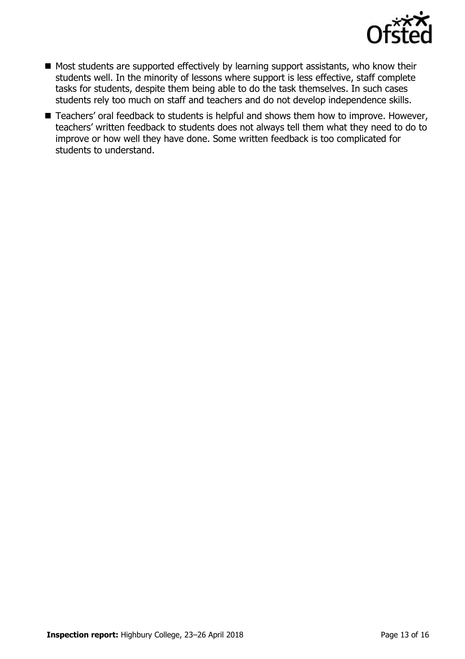

- $\blacksquare$  Most students are supported effectively by learning support assistants, who know their students well. In the minority of lessons where support is less effective, staff complete tasks for students, despite them being able to do the task themselves. In such cases students rely too much on staff and teachers and do not develop independence skills.
- Teachers' oral feedback to students is helpful and shows them how to improve. However, teachers' written feedback to students does not always tell them what they need to do to improve or how well they have done. Some written feedback is too complicated for students to understand.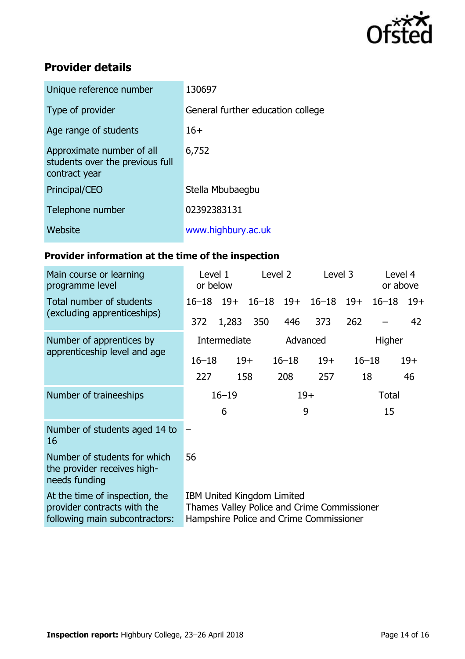

# **Provider details**

| Unique reference number                                                       | 130697                            |
|-------------------------------------------------------------------------------|-----------------------------------|
| Type of provider                                                              | General further education college |
| Age range of students                                                         | $16+$                             |
| Approximate number of all<br>students over the previous full<br>contract year | 6,752                             |
| Principal/CEO                                                                 | Stella Mbubaegbu                  |
| Telephone number                                                              | 02392383131                       |
| Website                                                                       | www.highbury.ac.uk                |

# **Provider information at the time of the inspection**

| Main course or learning<br>programme level                                                      | Level 2<br>Level 1<br>or below                                                                                              |       |          | Level 3       |               | Level 4<br>or above |           |       |
|-------------------------------------------------------------------------------------------------|-----------------------------------------------------------------------------------------------------------------------------|-------|----------|---------------|---------------|---------------------|-----------|-------|
| Total number of students<br>(excluding apprenticeships)                                         | $16 - 18$ 19+                                                                                                               |       |          | $16 - 18$ 19+ | $16 - 18$ 19+ |                     | $16 - 18$ | $19+$ |
|                                                                                                 | 372                                                                                                                         | 1,283 | 350      | 446           | 373           | 262                 |           | 42    |
| Number of apprentices by<br>apprenticeship level and age                                        | Intermediate                                                                                                                |       | Advanced |               | Higher        |                     |           |       |
|                                                                                                 | $16 - 18$                                                                                                                   |       | $19+$    | $16 - 18$     | $19+$         | $16 - 18$           |           | $19+$ |
|                                                                                                 | 227                                                                                                                         |       | 158      | 208           | 257           | 18                  |           | 46    |
| Number of traineeships                                                                          | $16 - 19$                                                                                                                   |       | $19+$    |               | <b>Total</b>  |                     |           |       |
|                                                                                                 |                                                                                                                             | 6     |          |               | 9             |                     | 15        |       |
| Number of students aged 14 to<br>16                                                             |                                                                                                                             |       |          |               |               |                     |           |       |
| Number of students for which<br>the provider receives high-<br>needs funding                    | 56                                                                                                                          |       |          |               |               |                     |           |       |
| At the time of inspection, the<br>provider contracts with the<br>following main subcontractors: | <b>IBM United Kingdom Limited</b><br>Thames Valley Police and Crime Commissioner<br>Hampshire Police and Crime Commissioner |       |          |               |               |                     |           |       |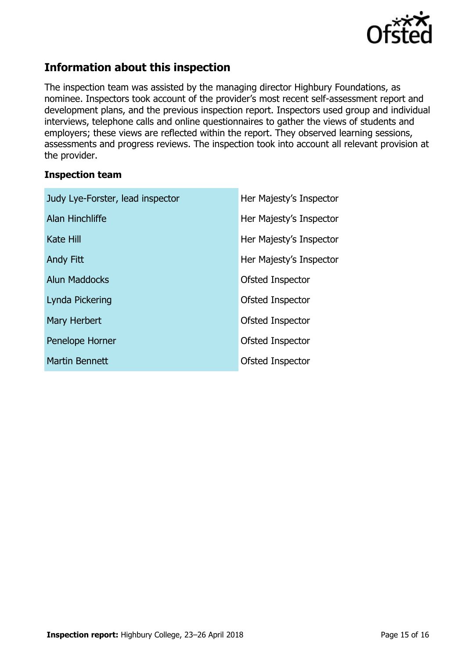

# **Information about this inspection**

The inspection team was assisted by the managing director Highbury Foundations, as nominee. Inspectors took account of the provider's most recent self-assessment report and development plans, and the previous inspection report. Inspectors used group and individual interviews, telephone calls and online questionnaires to gather the views of students and employers; these views are reflected within the report. They observed learning sessions, assessments and progress reviews. The inspection took into account all relevant provision at the provider.

#### **Inspection team**

| Judy Lye-Forster, lead inspector | Her Majesty's Inspector |  |  |
|----------------------------------|-------------------------|--|--|
| Alan Hinchliffe                  | Her Majesty's Inspector |  |  |
| Kate Hill                        | Her Majesty's Inspector |  |  |
| <b>Andy Fitt</b>                 | Her Majesty's Inspector |  |  |
| <b>Alun Maddocks</b>             | Ofsted Inspector        |  |  |
| Lynda Pickering                  | Ofsted Inspector        |  |  |
| Mary Herbert                     | Ofsted Inspector        |  |  |
| Penelope Horner                  | Ofsted Inspector        |  |  |
| Martin Bennett                   | Ofsted Inspector        |  |  |
|                                  |                         |  |  |